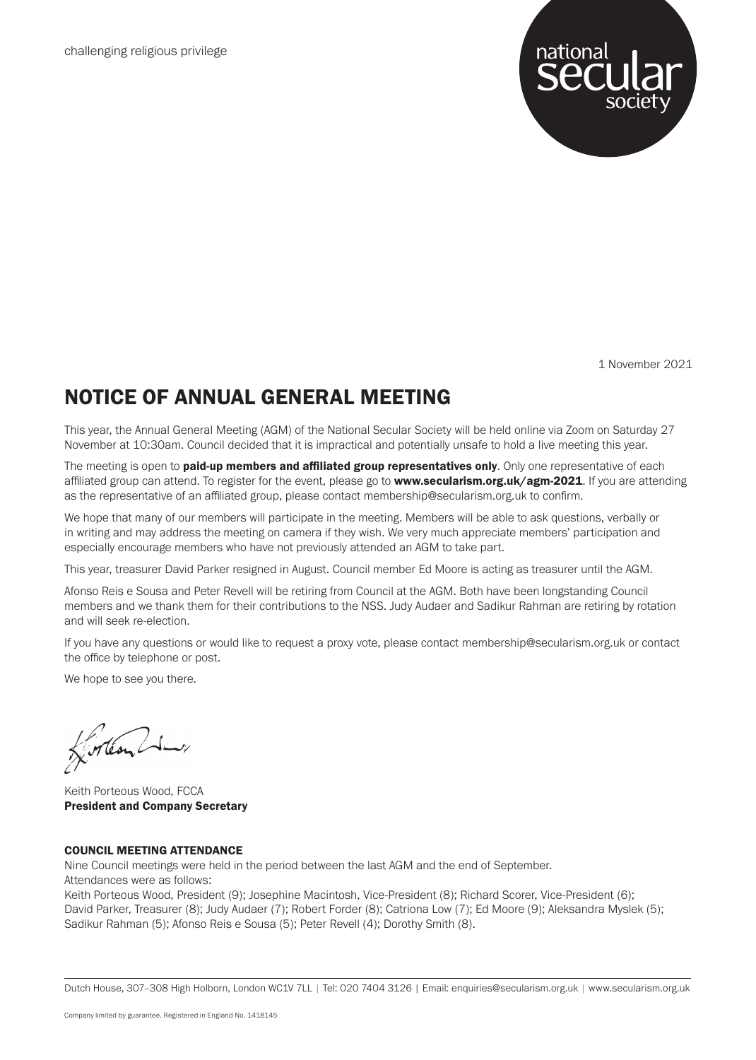

1 November 2021

### NOTICE OF ANNUAL GENERAL MEETING

This year, the Annual General Meeting (AGM) of the National Secular Society will be held online via Zoom on Saturday 27 November at 10:30am. Council decided that it is impractical and potentially unsafe to hold a live meeting this year.

The meeting is open to **paid-up members and affiliated group representatives only**. Only one representative of each affiliated group can attend. To register for the event, please go to www.secularism.org.uk/agm-2021. If you are attending as the representative of an affiliated group, please contact membership@secularism.org.uk to confirm.

We hope that many of our members will participate in the meeting. Members will be able to ask questions, verbally or in writing and may address the meeting on camera if they wish. We very much appreciate members' participation and especially encourage members who have not previously attended an AGM to take part.

This year, treasurer David Parker resigned in August. Council member Ed Moore is acting as treasurer until the AGM.

Afonso Reis e Sousa and Peter Revell will be retiring from Council at the AGM. Both have been longstanding Council members and we thank them for their contributions to the NSS. Judy Audaer and Sadikur Rahman are retiring by rotation and will seek re-election.

If you have any questions or would like to request a proxy vote, please contact membership@secularism.org.uk or contact the office by telephone or post.

We hope to see you there.

Forteon Li

Keith Porteous Wood, FCCA President and Company Secretary

### COUNCIL MEETING ATTENDANCE

Nine Council meetings were held in the period between the last AGM and the end of September.

Attendances were as follows:

Keith Porteous Wood, President (9); Josephine Macintosh, Vice-President (8); Richard Scorer, Vice-President (6); David Parker, Treasurer (8); Judy Audaer (7); Robert Forder (8); Catriona Low (7); Ed Moore (9); Aleksandra Myslek (5); Sadikur Rahman (5); Afonso Reis e Sousa (5); Peter Revell (4); Dorothy Smith (8).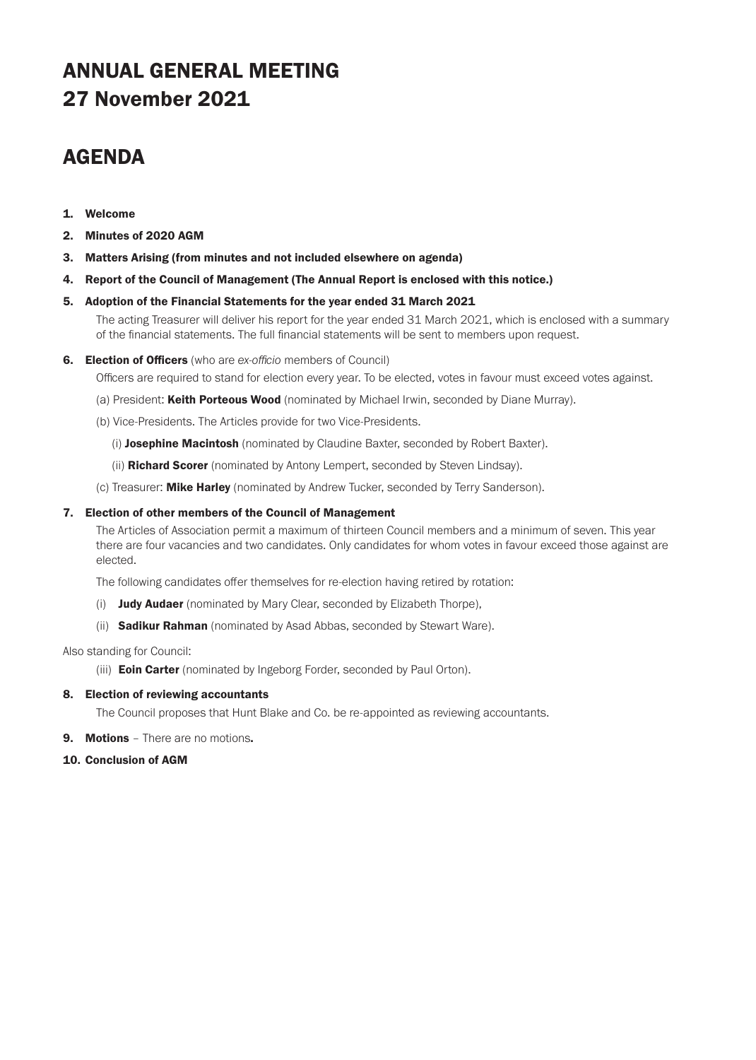## ANNUAL GENERAL MEETING 27 November 2021

### AGENDA

- 1. Welcome
- 2. Minutes of 2020 AGM
- 3. Matters Arising (from minutes and not included elsewhere on agenda)
- 4. Report of the Council of Management (The Annual Report is enclosed with this notice.)

### 5. Adoption of the Financial Statements for the year ended 31 March 2021

The acting Treasurer will deliver his report for the year ended 31 March 2021, which is enclosed with a summary of the financial statements. The full financial statements will be sent to members upon request.

6. Election of Officers (who are *ex-officio* members of Council)

Officers are required to stand for election every year. To be elected, votes in favour must exceed votes against.

- (a) President: Keith Porteous Wood (nominated by Michael Irwin, seconded by Diane Murray).
- (b) Vice-Presidents. The Articles provide for two Vice-Presidents.
	- (i) Josephine Macintosh (nominated by Claudine Baxter, seconded by Robert Baxter).
	- (ii) **Richard Scorer** (nominated by Antony Lempert, seconded by Steven Lindsay).
- (c) Treasurer: Mike Harley (nominated by Andrew Tucker, seconded by Terry Sanderson).

#### 7. Election of other members of the Council of Management

The Articles of Association permit a maximum of thirteen Council members and a minimum of seven. This year there are four vacancies and two candidates. Only candidates for whom votes in favour exceed those against are elected.

The following candidates offer themselves for re-election having retired by rotation:

- (i) **Judy Audaer** (nominated by Mary Clear, seconded by Elizabeth Thorpe),
- (ii) **Sadikur Rahman** (nominated by Asad Abbas, seconded by Stewart Ware).

Also standing for Council:

(iii) **Eoin Carter** (nominated by Ingeborg Forder, seconded by Paul Orton).

### 8. Election of reviewing accountants

The Council proposes that Hunt Blake and Co. be re-appointed as reviewing accountants.

- **9. Motions** There are no motions.
- 10. Conclusion of AGM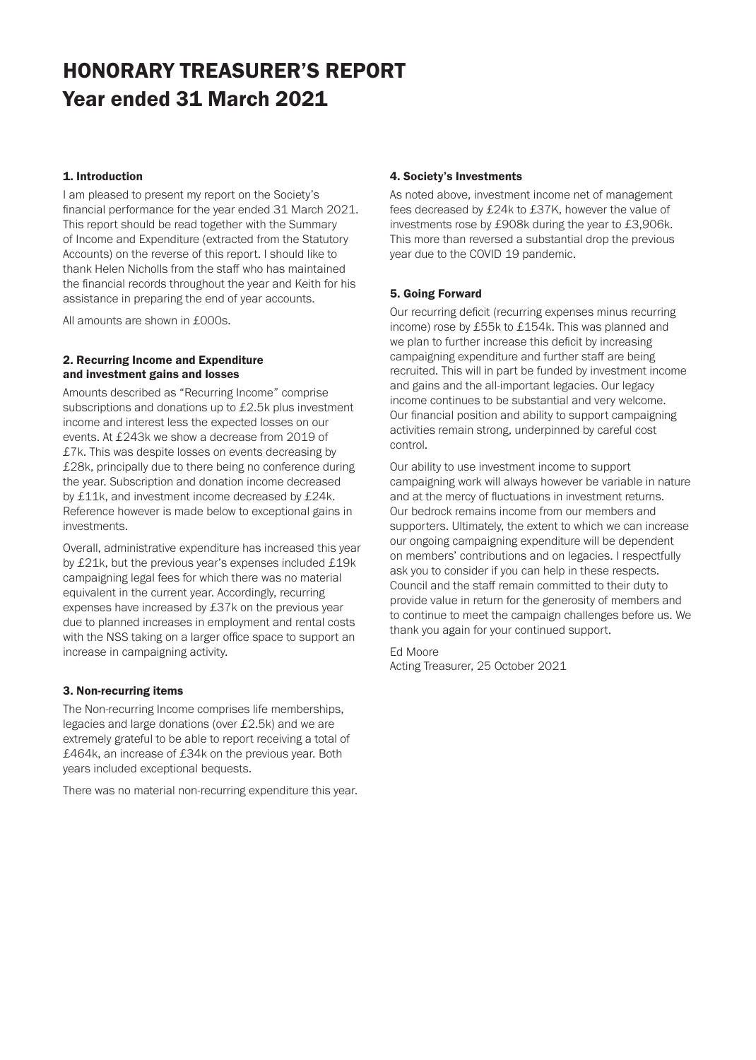# HONORARY TREASURER'S REPORT Year ended 31 March 2021

### 1. Introduction

I am pleased to present my report on the Society's financial performance for the year ended 31 March 2021. This report should be read together with the Summary of Income and Expenditure (extracted from the Statutory Accounts) on the reverse of this report. I should like to thank Helen Nicholls from the staff who has maintained the financial records throughout the year and Keith for his assistance in preparing the end of year accounts.

All amounts are shown in £000s.

### 2. Recurring Income and Expenditure and investment gains and losses

Amounts described as "Recurring Income" comprise subscriptions and donations up to £2.5k plus investment income and interest less the expected losses on our events. At £243k we show a decrease from 2019 of £7k. This was despite losses on events decreasing by £28k, principally due to there being no conference during the year. Subscription and donation income decreased by £11k, and investment income decreased by £24k. Reference however is made below to exceptional gains in investments.

Overall, administrative expenditure has increased this year by £21k, but the previous year's expenses included £19k campaigning legal fees for which there was no material equivalent in the current year. Accordingly, recurring expenses have increased by £37k on the previous year due to planned increases in employment and rental costs with the NSS taking on a larger office space to support an increase in campaigning activity.

### 3. Non-recurring items

The Non-recurring Income comprises life memberships, legacies and large donations (over £2.5k) and we are extremely grateful to be able to report receiving a total of £464k, an increase of £34k on the previous year. Both years included exceptional bequests.

There was no material non-recurring expenditure this year.

### 4. Society's Investments

As noted above, investment income net of management fees decreased by £24k to £37K, however the value of investments rose by £908k during the year to £3,906k. This more than reversed a substantial drop the previous year due to the COVID 19 pandemic.

### 5. Going Forward

Our recurring deficit (recurring expenses minus recurring income) rose by £55k to £154k. This was planned and we plan to further increase this deficit by increasing campaigning expenditure and further staff are being recruited. This will in part be funded by investment income and gains and the all-important legacies. Our legacy income continues to be substantial and very welcome. Our financial position and ability to support campaigning activities remain strong, underpinned by careful cost control.

Our ability to use investment income to support campaigning work will always however be variable in nature and at the mercy of fluctuations in investment returns. Our bedrock remains income from our members and supporters. Ultimately, the extent to which we can increase our ongoing campaigning expenditure will be dependent on members' contributions and on legacies. I respectfully ask you to consider if you can help in these respects. Council and the staff remain committed to their duty to provide value in return for the generosity of members and to continue to meet the campaign challenges before us. We thank you again for your continued support.

Ed Moore Acting Treasurer, 25 October 2021